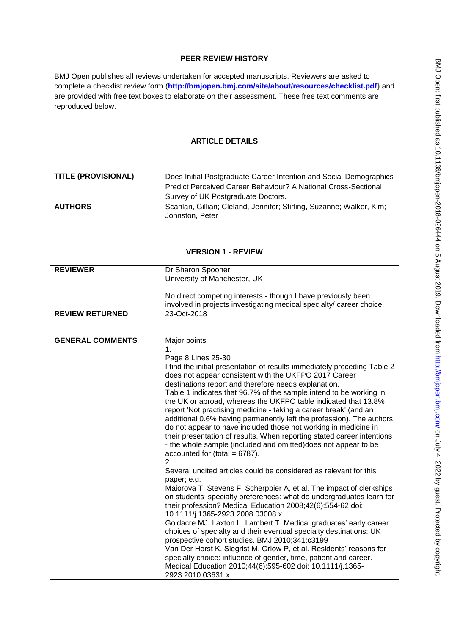## **PEER REVIEW HISTORY**

BMJ Open publishes all reviews undertaken for accepted manuscripts. Reviewers are asked to complete a checklist review form (**[http://bmjopen.bmj.com/site/about/resources/checklist.pdf\)](http://bmjopen.bmj.com/site/about/resources/checklist.pdf)** and are provided with free text boxes to elaborate on their assessment. These free text comments are reproduced below.

## **ARTICLE DETAILS**

| <b>TITLE (PROVISIONAL)</b> | Does Initial Postgraduate Career Intention and Social Demographics<br>Predict Perceived Career Behaviour? A National Cross-Sectional |
|----------------------------|--------------------------------------------------------------------------------------------------------------------------------------|
|                            | Survey of UK Postgraduate Doctors.                                                                                                   |
| <b>AUTHORS</b>             | Scanlan, Gillian; Cleland, Jennifer; Stirling, Suzanne; Walker, Kim;<br>Johnston, Peter                                              |

## **VERSION 1 - REVIEW**

| <b>REVIEWER</b>        | Dr Sharon Spooner<br>University of Manchester, UK                                                                                     |
|------------------------|---------------------------------------------------------------------------------------------------------------------------------------|
|                        | No direct competing interests - though I have previously been<br>involved in projects investigating medical specialty/ career choice. |
| <b>REVIEW RETURNED</b> | 23-Oct-2018                                                                                                                           |

| <b>GENERAL COMMENTS</b> | Major points                                                                   |
|-------------------------|--------------------------------------------------------------------------------|
|                         | $\mathbf 1$ .                                                                  |
|                         | Page 8 Lines 25-30                                                             |
|                         | I find the initial presentation of results immediately preceding Table 2       |
|                         | does not appear consistent with the UKFPO 2017 Career                          |
|                         | destinations report and therefore needs explanation.                           |
|                         | Table 1 indicates that 96.7% of the sample intend to be working in             |
|                         | the UK or abroad, whereas the UKFPO table indicated that 13.8%                 |
|                         | report 'Not practising medicine - taking a career break' (and an               |
|                         | additional 0.6% having permanently left the profession). The authors           |
|                         | do not appear to have included those not working in medicine in                |
|                         | their presentation of results. When reporting stated career intentions         |
|                         | - the whole sample (included and omitted) does not appear to be                |
|                         | accounted for (total = $6787$ ).                                               |
|                         | 2.                                                                             |
|                         | Several uncited articles could be considered as relevant for this              |
|                         | paper; e.g.                                                                    |
|                         | Maiorova T, Stevens F, Scherpbier A, et al. The impact of clerkships           |
|                         | on students' specialty preferences: what do undergraduates learn for           |
|                         | their profession? Medical Education 2008;42(6):554-62 doi:                     |
|                         | 10.1111/j.1365-2923.2008.03008.x                                               |
|                         | Goldacre MJ, Laxton L, Lambert T. Medical graduates' early career              |
|                         | choices of specialty and their eventual specialty destinations: UK             |
|                         | prospective cohort studies. BMJ 2010;341:c3199                                 |
|                         | Van Der Horst K, Siegrist M, Orlow P, et al. Residents' reasons for            |
|                         | specialty choice: influence of gender, time, patient and career.               |
|                         |                                                                                |
|                         |                                                                                |
|                         | Medical Education 2010;44(6):595-602 doi: 10.1111/j.1365-<br>2923.2010.03631.x |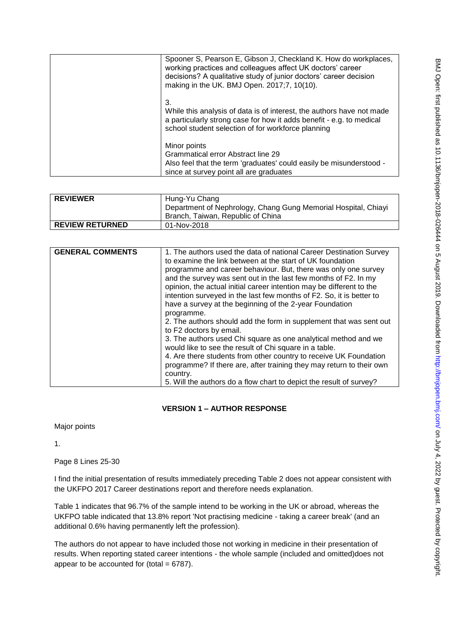| Spooner S, Pearson E, Gibson J, Checkland K. How do workplaces,<br>working practices and colleagues affect UK doctors' career<br>decisions? A qualitative study of junior doctors' career decision<br>making in the UK. BMJ Open. 2017;7, 10(10). |
|---------------------------------------------------------------------------------------------------------------------------------------------------------------------------------------------------------------------------------------------------|
| 3.<br>While this analysis of data is of interest, the authors have not made<br>a particularly strong case for how it adds benefit - e.g. to medical<br>school student selection of for workforce planning                                         |
| Minor points<br>Grammatical error Abstract line 29<br>Also feel that the term 'graduates' could easily be misunderstood -<br>since at survey point all are graduates                                                                              |

| <b>REVIEWER</b>        | Hung-Yu Chang                                                  |
|------------------------|----------------------------------------------------------------|
|                        | Department of Nephrology, Chang Gung Memorial Hospital, Chiayi |
|                        | Branch, Taiwan, Republic of China                              |
| <b>REVIEW RETURNED</b> | 01-Nov-2018                                                    |

| <b>GENERAL COMMENTS</b> | 1. The authors used the data of national Career Destination Survey<br>to examine the link between at the start of UK foundation<br>programme and career behaviour. But, there was only one survey<br>and the survey was sent out in the last few months of F2. In my<br>opinion, the actual initial career intention may be different to the<br>intention surveyed in the last few months of F2. So, it is better to<br>have a survey at the beginning of the 2-year Foundation<br>programme.<br>2. The authors should add the form in supplement that was sent out<br>to F2 doctors by email.<br>3. The authors used Chi square as one analytical method and we<br>would like to see the result of Chi square in a table.<br>4. Are there students from other country to receive UK Foundation |
|-------------------------|-------------------------------------------------------------------------------------------------------------------------------------------------------------------------------------------------------------------------------------------------------------------------------------------------------------------------------------------------------------------------------------------------------------------------------------------------------------------------------------------------------------------------------------------------------------------------------------------------------------------------------------------------------------------------------------------------------------------------------------------------------------------------------------------------|
|                         | programme? If there are, after training they may return to their own<br>country.                                                                                                                                                                                                                                                                                                                                                                                                                                                                                                                                                                                                                                                                                                                |
|                         | 5. Will the authors do a flow chart to depict the result of survey?                                                                                                                                                                                                                                                                                                                                                                                                                                                                                                                                                                                                                                                                                                                             |

# **VERSION 1 – AUTHOR RESPONSE**

Major points

1.

Page 8 Lines 25-30

I find the initial presentation of results immediately preceding Table 2 does not appear consistent with the UKFPO 2017 Career destinations report and therefore needs explanation.

Table 1 indicates that 96.7% of the sample intend to be working in the UK or abroad, whereas the UKFPO table indicated that 13.8% report 'Not practising medicine - taking a career break' (and an additional 0.6% having permanently left the profession).

The authors do not appear to have included those not working in medicine in their presentation of results. When reporting stated career intentions - the whole sample (included and omitted)does not appear to be accounted for (total  $= 6787$ ).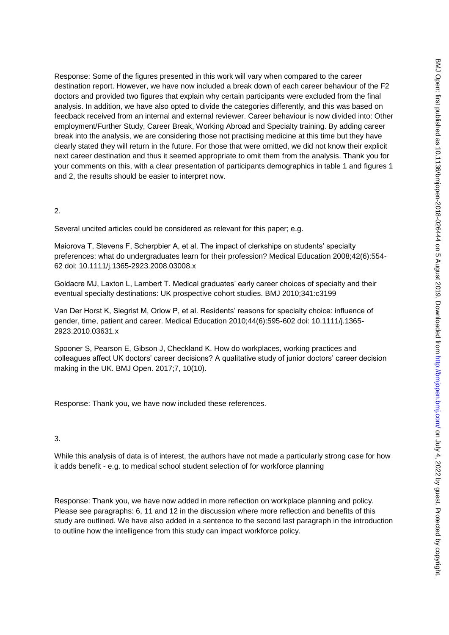Response: Some of the figures presented in this work will vary when compared to the career destination report. However, we have now included a break down of each career behaviour of the F2 doctors and provided two figures that explain why certain participants were excluded from the final analysis. In addition, we have also opted to divide the categories differently, and this was based on feedback received from an internal and external reviewer. Career behaviour is now divided into: Other employment/Further Study, Career Break, Working Abroad and Specialty training. By adding career break into the analysis, we are considering those not practising medicine at this time but they have clearly stated they will return in the future. For those that were omitted, we did not know their explicit next career destination and thus it seemed appropriate to omit them from the analysis. Thank you for your comments on this, with a clear presentation of participants demographics in table 1 and figures 1 and 2, the results should be easier to interpret now.

### 2.

Several uncited articles could be considered as relevant for this paper; e.g.

Maiorova T, Stevens F, Scherpbier A, et al. The impact of clerkships on students' specialty preferences: what do undergraduates learn for their profession? Medical Education 2008;42(6):554- 62 doi: 10.1111/j.1365-2923.2008.03008.x

Goldacre MJ, Laxton L, Lambert T. Medical graduates' early career choices of specialty and their eventual specialty destinations: UK prospective cohort studies. BMJ 2010;341:c3199

Van Der Horst K, Siegrist M, Orlow P, et al. Residents" reasons for specialty choice: influence of gender, time, patient and career. Medical Education 2010;44(6):595-602 doi: 10.1111/j.1365- 2923.2010.03631.x

Spooner S, Pearson E, Gibson J, Checkland K. How do workplaces, working practices and colleagues affect UK doctors' career decisions? A qualitative study of junior doctors' career decision making in the UK. BMJ Open. 2017;7, 10(10).

Response: Thank you, we have now included these references.

### 3.

While this analysis of data is of interest, the authors have not made a particularly strong case for how it adds benefit - e.g. to medical school student selection of for workforce planning

Response: Thank you, we have now added in more reflection on workplace planning and policy. Please see paragraphs: 6, 11 and 12 in the discussion where more reflection and benefits of this study are outlined. We have also added in a sentence to the second last paragraph in the introduction to outline how the intelligence from this study can impact workforce policy.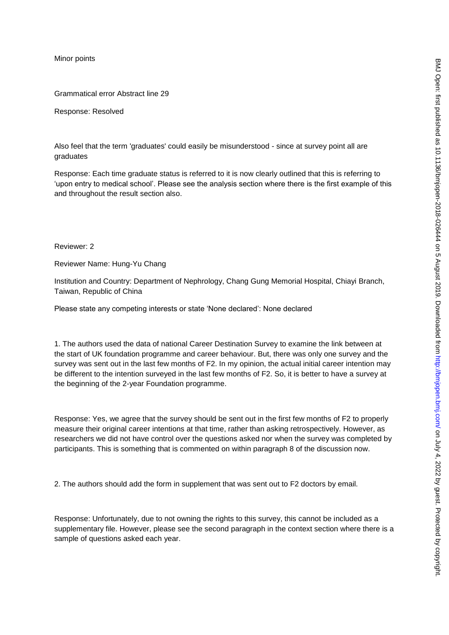Minor points

Grammatical error Abstract line 29

Response: Resolved

Also feel that the term 'graduates' could easily be misunderstood - since at survey point all are graduates

Response: Each time graduate status is referred to it is now clearly outlined that this is referring to "upon entry to medical school". Please see the analysis section where there is the first example of this and throughout the result section also.

Reviewer: 2

Reviewer Name: Hung-Yu Chang

Institution and Country: Department of Nephrology, Chang Gung Memorial Hospital, Chiayi Branch, Taiwan, Republic of China

Please state any competing interests or state "None declared": None declared

1. The authors used the data of national Career Destination Survey to examine the link between at the start of UK foundation programme and career behaviour. But, there was only one survey and the survey was sent out in the last few months of F2. In my opinion, the actual initial career intention may be different to the intention surveyed in the last few months of F2. So, it is better to have a survey at the beginning of the 2-year Foundation programme.

Response: Yes, we agree that the survey should be sent out in the first few months of F2 to properly measure their original career intentions at that time, rather than asking retrospectively. However, as researchers we did not have control over the questions asked nor when the survey was completed by participants. This is something that is commented on within paragraph 8 of the discussion now.

2. The authors should add the form in supplement that was sent out to F2 doctors by email.

Response: Unfortunately, due to not owning the rights to this survey, this cannot be included as a supplementary file. However, please see the second paragraph in the context section where there is a sample of questions asked each year.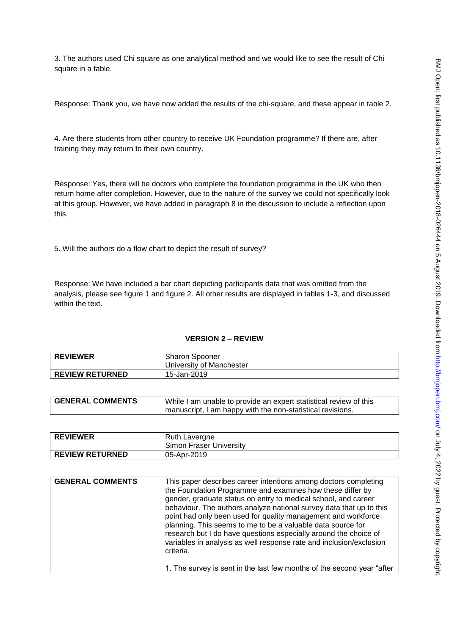3. The authors used Chi square as one analytical method and we would like to see the result of Chi square in a table.

Response: Thank you, we have now added the results of the chi-square, and these appear in table 2.

4. Are there students from other country to receive UK Foundation programme? If there are, after training they may return to their own country.

Response: Yes, there will be doctors who complete the foundation programme in the UK who then return home after completion. However, due to the nature of the survey we could not specifically look at this group. However, we have added in paragraph 8 in the discussion to include a reflection upon this.

5. Will the authors do a flow chart to depict the result of survey?

Response: We have included a bar chart depicting participants data that was omitted from the analysis, please see figure 1 and figure 2. All other results are displayed in tables 1-3, and discussed within the text.

#### **VERSION 2 – REVIEW**

| <b>REVIEWER</b>        | <b>Sharon Spooner</b><br>University of Manchester |
|------------------------|---------------------------------------------------|
| <b>REVIEW RETURNED</b> | 15-Jan-2019                                       |

| <b>GENERAL COMMENTS</b> | While I am unable to provide an expert statistical review of this |
|-------------------------|-------------------------------------------------------------------|
|                         | manuscript, I am happy with the non-statistical revisions.        |
|                         |                                                                   |

| <b>REVIEWER</b>        | Ruth Lavergne<br>Simon Fraser University |
|------------------------|------------------------------------------|
| <b>REVIEW RETURNED</b> | 05-Apr-2019                              |

| <b>GENERAL COMMENTS</b> | This paper describes career intentions among doctors completing<br>the Foundation Programme and examines how these differ by<br>gender, graduate status on entry to medical school, and career<br>behaviour. The authors analyze national survey data that up to this<br>point had only been used for quality management and workforce<br>planning. This seems to me to be a valuable data source for<br>research but I do have questions especially around the choice of<br>variables in analysis as well response rate and inclusion/exclusion<br>criteria. |
|-------------------------|---------------------------------------------------------------------------------------------------------------------------------------------------------------------------------------------------------------------------------------------------------------------------------------------------------------------------------------------------------------------------------------------------------------------------------------------------------------------------------------------------------------------------------------------------------------|
|                         | 1. The survey is sent in the last few months of the second year "after"                                                                                                                                                                                                                                                                                                                                                                                                                                                                                       |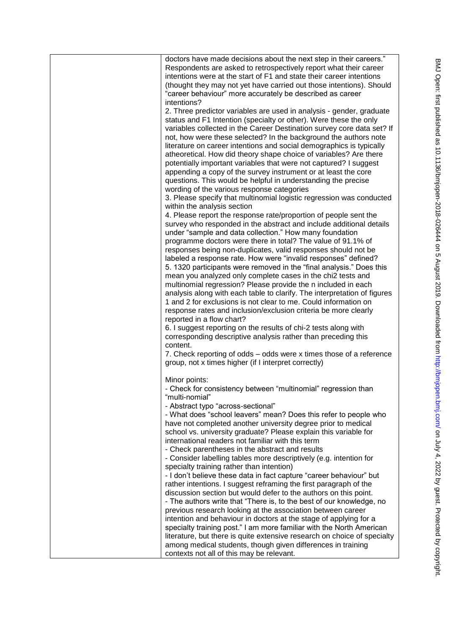| doctors have made decisions about the next step in their careers."<br>Respondents are asked to retrospectively report what their career<br>intentions were at the start of F1 and state their career intentions<br>(thought they may not yet have carried out those intentions). Should<br>"career behaviour" more accurately be described as career<br>intentions?                                                                                                                                                                                                         |
|-----------------------------------------------------------------------------------------------------------------------------------------------------------------------------------------------------------------------------------------------------------------------------------------------------------------------------------------------------------------------------------------------------------------------------------------------------------------------------------------------------------------------------------------------------------------------------|
| 2. Three predictor variables are used in analysis - gender, graduate<br>status and F1 Intention (specialty or other). Were these the only<br>variables collected in the Career Destination survey core data set? If<br>not, how were these selected? In the background the authors note<br>literature on career intentions and social demographics is typically<br>atheoretical. How did theory shape choice of variables? Are there<br>potentially important variables that were not captured? I suggest<br>appending a copy of the survey instrument or at least the core |
| questions. This would be helpful in understanding the precise<br>wording of the various response categories<br>3. Please specify that multinomial logistic regression was conducted                                                                                                                                                                                                                                                                                                                                                                                         |
| within the analysis section<br>4. Please report the response rate/proportion of people sent the<br>survey who responded in the abstract and include additional details<br>under "sample and data collection." How many foundation<br>programme doctors were there in total? The value of 91.1% of<br>responses being non-duplicates, valid responses should not be<br>labeled a response rate. How were "invalid responses" defined?                                                                                                                                        |
| 5. 1320 participants were removed in the "final analysis." Does this<br>mean you analyzed only complete cases in the chi2 tests and<br>multinomial regression? Please provide the n included in each<br>analysis along with each table to clarify. The interpretation of figures<br>1 and 2 for exclusions is not clear to me. Could information on<br>response rates and inclusion/exclusion criteria be more clearly<br>reported in a flow chart?                                                                                                                         |
| 6. I suggest reporting on the results of chi-2 tests along with<br>corresponding descriptive analysis rather than preceding this<br>content.<br>7. Check reporting of odds - odds were x times those of a reference<br>group, not x times higher (if I interpret correctly)                                                                                                                                                                                                                                                                                                 |
| Minor points:<br>- Check for consistency between "multinomial" regression than<br>"multi-nomial"<br>- Abstract typo "across-sectional"<br>- What does "school leavers" mean? Does this refer to people who<br>have not completed another university degree prior to medical<br>school vs. university graduate? Please explain this variable for<br>international readers not familiar with this term                                                                                                                                                                        |
| - Check parentheses in the abstract and results<br>- Consider labelling tables more descriptively (e.g. intention for<br>specialty training rather than intention)<br>- I don't believe these data in fact capture "career behaviour" but<br>rather intentions. I suggest reframing the first paragraph of the<br>discussion section but would defer to the authors on this point.<br>- The authors write that "There is, to the best of our knowledge, no<br>previous research looking at the association between career                                                   |
| intention and behaviour in doctors at the stage of applying for a<br>specialty training post." I am more familiar with the North American<br>literature, but there is quite extensive research on choice of specialty<br>among medical students, though given differences in training<br>contexts not all of this may be relevant.                                                                                                                                                                                                                                          |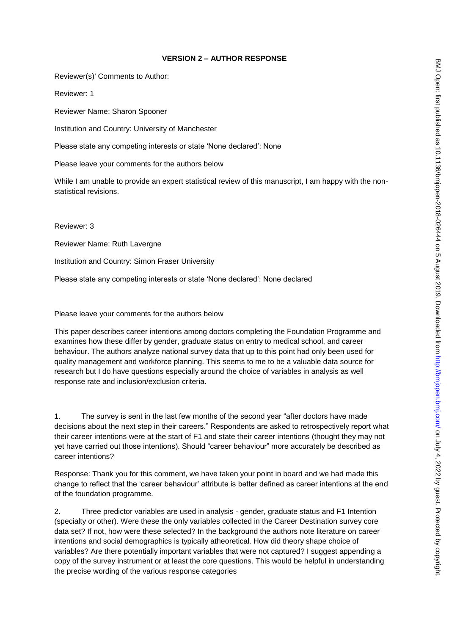## **VERSION 2 – AUTHOR RESPONSE**

Reviewer(s)' Comments to Author:

Reviewer: 1

Reviewer Name: Sharon Spooner

Institution and Country: University of Manchester

Please state any competing interests or state "None declared": None

Please leave your comments for the authors below

While I am unable to provide an expert statistical review of this manuscript, I am happy with the nonstatistical revisions.

Reviewer: 3

Reviewer Name: Ruth Lavergne

Institution and Country: Simon Fraser University

Please state any competing interests or state "None declared": None declared

Please leave your comments for the authors below

This paper describes career intentions among doctors completing the Foundation Programme and examines how these differ by gender, graduate status on entry to medical school, and career behaviour. The authors analyze national survey data that up to this point had only been used for quality management and workforce planning. This seems to me to be a valuable data source for research but I do have questions especially around the choice of variables in analysis as well response rate and inclusion/exclusion criteria.

1. The survey is sent in the last few months of the second year "after doctors have made decisions about the next step in their careers." Respondents are asked to retrospectively report what their career intentions were at the start of F1 and state their career intentions (thought they may not yet have carried out those intentions). Should "career behaviour" more accurately be described as career intentions?

Response: Thank you for this comment, we have taken your point in board and we had made this change to reflect that the "career behaviour" attribute is better defined as career intentions at the end of the foundation programme.

2. Three predictor variables are used in analysis - gender, graduate status and F1 Intention (specialty or other). Were these the only variables collected in the Career Destination survey core data set? If not, how were these selected? In the background the authors note literature on career intentions and social demographics is typically atheoretical. How did theory shape choice of variables? Are there potentially important variables that were not captured? I suggest appending a copy of the survey instrument or at least the core questions. This would be helpful in understanding the precise wording of the various response categories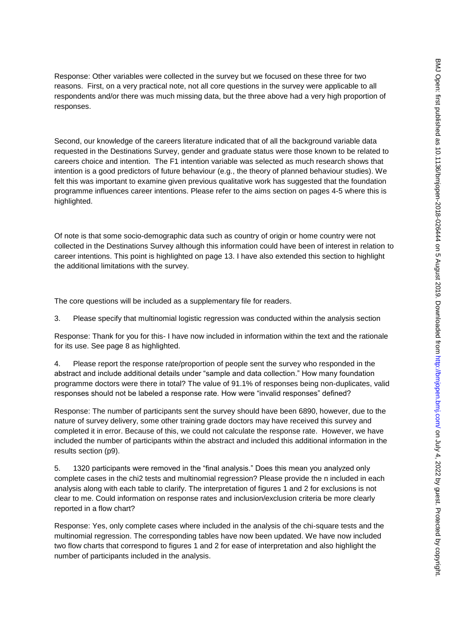Response: Other variables were collected in the survey but we focused on these three for two reasons. First, on a very practical note, not all core questions in the survey were applicable to all respondents and/or there was much missing data, but the three above had a very high proportion of responses.

Second, our knowledge of the careers literature indicated that of all the background variable data requested in the Destinations Survey, gender and graduate status were those known to be related to careers choice and intention. The F1 intention variable was selected as much research shows that intention is a good predictors of future behaviour (e.g., the theory of planned behaviour studies). We felt this was important to examine given previous qualitative work has suggested that the foundation programme influences career intentions. Please refer to the aims section on pages 4-5 where this is highlighted.

Of note is that some socio-demographic data such as country of origin or home country were not collected in the Destinations Survey although this information could have been of interest in relation to career intentions. This point is highlighted on page 13. I have also extended this section to highlight the additional limitations with the survey.

The core questions will be included as a supplementary file for readers.

3. Please specify that multinomial logistic regression was conducted within the analysis section

Response: Thank for you for this- I have now included in information within the text and the rationale for its use. See page 8 as highlighted.

4. Please report the response rate/proportion of people sent the survey who responded in the abstract and include additional details under "sample and data collection." How many foundation programme doctors were there in total? The value of 91.1% of responses being non-duplicates, valid responses should not be labeled a response rate. How were "invalid responses" defined?

Response: The number of participants sent the survey should have been 6890, however, due to the nature of survey delivery, some other training grade doctors may have received this survey and completed it in error. Because of this, we could not calculate the response rate. However, we have included the number of participants within the abstract and included this additional information in the results section (p9).

5. 1320 participants were removed in the "final analysis." Does this mean you analyzed only complete cases in the chi2 tests and multinomial regression? Please provide the n included in each analysis along with each table to clarify. The interpretation of figures 1 and 2 for exclusions is not clear to me. Could information on response rates and inclusion/exclusion criteria be more clearly reported in a flow chart?

Response: Yes, only complete cases where included in the analysis of the chi-square tests and the multinomial regression. The corresponding tables have now been updated. We have now included two flow charts that correspond to figures 1 and 2 for ease of interpretation and also highlight the number of participants included in the analysis.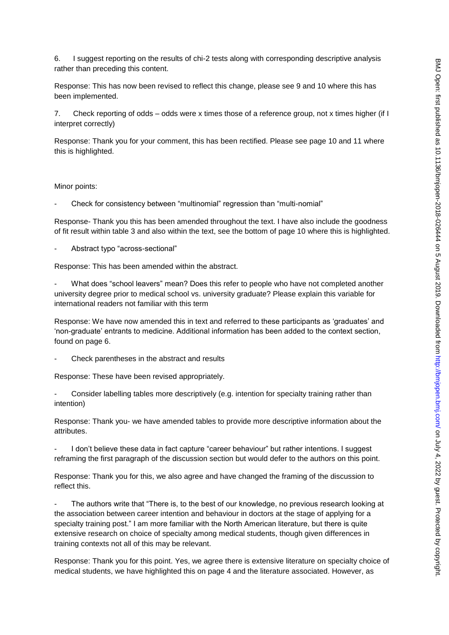6. I suggest reporting on the results of chi-2 tests along with corresponding descriptive analysis rather than preceding this content.

Response: This has now been revised to reflect this change, please see 9 and 10 where this has been implemented.

7. Check reporting of odds – odds were x times those of a reference group, not x times higher (if I interpret correctly)

Response: Thank you for your comment, this has been rectified. Please see page 10 and 11 where this is highlighted.

#### Minor points:

- Check for consistency between "multinomial" regression than "multi-nomial"

Response- Thank you this has been amended throughout the text. I have also include the goodness of fit result within table 3 and also within the text, see the bottom of page 10 where this is highlighted.

- Abstract typo "across-sectional"

Response: This has been amended within the abstract.

What does "school leavers" mean? Does this refer to people who have not completed another university degree prior to medical school vs. university graduate? Please explain this variable for international readers not familiar with this term

Response: We have now amended this in text and referred to these participants as "graduates" and "non-graduate" entrants to medicine. Additional information has been added to the context section, found on page 6.

Check parentheses in the abstract and results

Response: These have been revised appropriately.

Consider labelling tables more descriptively (e.g. intention for specialty training rather than intention)

Response: Thank you- we have amended tables to provide more descriptive information about the attributes.

I don't believe these data in fact capture "career behaviour" but rather intentions. I suggest reframing the first paragraph of the discussion section but would defer to the authors on this point.

Response: Thank you for this, we also agree and have changed the framing of the discussion to reflect this.

The authors write that "There is, to the best of our knowledge, no previous research looking at the association between career intention and behaviour in doctors at the stage of applying for a specialty training post." I am more familiar with the North American literature, but there is quite extensive research on choice of specialty among medical students, though given differences in training contexts not all of this may be relevant.

Response: Thank you for this point. Yes, we agree there is extensive literature on specialty choice of medical students, we have highlighted this on page 4 and the literature associated. However, as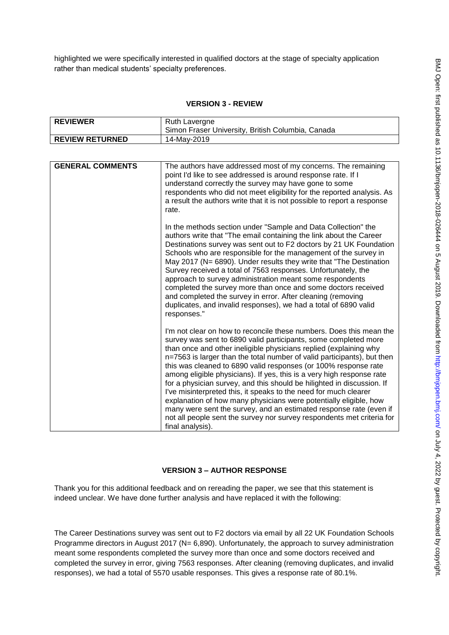highlighted we were specifically interested in qualified doctors at the stage of specialty application rather than medical students' specialty preferences.

### **VERSION 3 - REVIEW**

| <b>REVIEWER</b>        | Ruth Lavergne                                     |
|------------------------|---------------------------------------------------|
|                        | Simon Fraser University, British Columbia, Canada |
| <b>REVIEW RETURNED</b> | 14-May-2019                                       |

| <b>GENERAL COMMENTS</b> | The authors have addressed most of my concerns. The remaining<br>point I'd like to see addressed is around response rate. If I<br>understand correctly the survey may have gone to some<br>respondents who did not meet eligibility for the reported analysis. As<br>a result the authors write that it is not possible to report a response<br>rate.                                                                                                                                                                                                                                                                                                                                                                                                                                                                     |
|-------------------------|---------------------------------------------------------------------------------------------------------------------------------------------------------------------------------------------------------------------------------------------------------------------------------------------------------------------------------------------------------------------------------------------------------------------------------------------------------------------------------------------------------------------------------------------------------------------------------------------------------------------------------------------------------------------------------------------------------------------------------------------------------------------------------------------------------------------------|
|                         | In the methods section under "Sample and Data Collection" the<br>authors write that "The email containing the link about the Career<br>Destinations survey was sent out to F2 doctors by 21 UK Foundation<br>Schools who are responsible for the management of the survey in<br>May 2017 (N= 6890). Under results they write that "The Destination<br>Survey received a total of 7563 responses. Unfortunately, the<br>approach to survey administration meant some respondents<br>completed the survey more than once and some doctors received<br>and completed the survey in error. After cleaning (removing<br>duplicates, and invalid responses), we had a total of 6890 valid<br>responses."                                                                                                                        |
|                         | I'm not clear on how to reconcile these numbers. Does this mean the<br>survey was sent to 6890 valid participants, some completed more<br>than once and other ineligible physicians replied (explaining why<br>n=7563 is larger than the total number of valid participants), but then<br>this was cleaned to 6890 valid responses (or 100% response rate<br>among eligible physicians). If yes, this is a very high response rate<br>for a physician survey, and this should be hilighted in discussion. If<br>I've misinterpreted this, it speaks to the need for much clearer<br>explanation of how many physicians were potentially eligible, how<br>many were sent the survey, and an estimated response rate (even if<br>not all people sent the survey nor survey respondents met criteria for<br>final analysis). |

## **VERSION 3 – AUTHOR RESPONSE**

Thank you for this additional feedback and on rereading the paper, we see that this statement is indeed unclear. We have done further analysis and have replaced it with the following:

The Career Destinations survey was sent out to F2 doctors via email by all 22 UK Foundation Schools Programme directors in August 2017 (N= 6,890). Unfortunately, the approach to survey administration meant some respondents completed the survey more than once and some doctors received and completed the survey in error, giving 7563 responses. After cleaning (removing duplicates, and invalid responses), we had a total of 5570 usable responses. This gives a response rate of 80.1%.